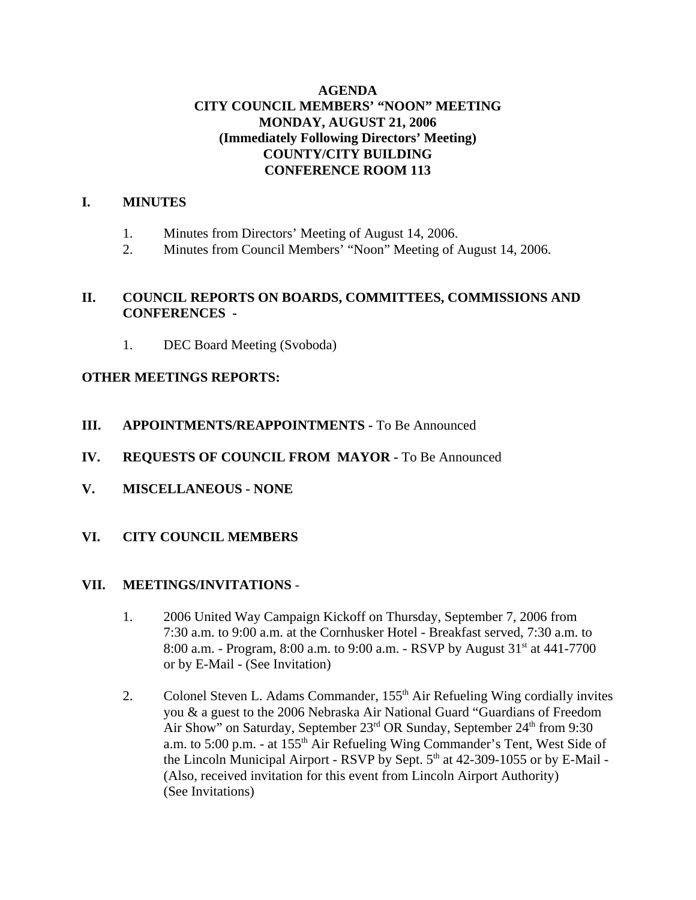# **AGENDA CITY COUNCIL MEMBERS' "NOON" MEETING MONDAY, AUGUST 21, 2006 (Immediately Following Directors' Meeting) COUNTY/CITY BUILDING CONFERENCE ROOM 113**

# **I. MINUTES**

- 1. Minutes from Directors' Meeting of August 14, 2006.
- 2. Minutes from Council Members' "Noon" Meeting of August 14, 2006.

## **II. COUNCIL REPORTS ON BOARDS, COMMITTEES, COMMISSIONS AND CONFERENCES -**

1. DEC Board Meeting (Svoboda)

# **OTHER MEETINGS REPORTS:**

- **III.** APPOINTMENTS/REAPPOINTMENTS To Be Announced
- **IV. REQUESTS OF COUNCIL FROM MAYOR -** To Be Announced
- **V. MISCELLANEOUS NONE**
- **VI. CITY COUNCIL MEMBERS**

### **VII. MEETINGS/INVITATIONS** -

- 1. 2006 United Way Campaign Kickoff on Thursday, September 7, 2006 from 7:30 a.m. to 9:00 a.m. at the Cornhusker Hotel - Breakfast served, 7:30 a.m. to 8:00 a.m. - Program, 8:00 a.m. to 9:00 a.m. - RSVP by August 31<sup>st</sup> at 441-7700 or by E-Mail - (See Invitation)
- 2. Colonel Steven L. Adams Commander, 155<sup>th</sup> Air Refueling Wing cordially invites you & a guest to the 2006 Nebraska Air National Guard "Guardians of Freedom Air Show" on Saturday, September  $23<sup>rd</sup>$  OR Sunday, September  $24<sup>th</sup>$  from 9:30 a.m. to 5:00 p.m. - at 155<sup>th</sup> Air Refueling Wing Commander's Tent, West Side of the Lincoln Municipal Airport - RSVP by Sept.  $5<sup>th</sup>$  at 42-309-1055 or by E-Mail -(Also, received invitation for this event from Lincoln Airport Authority) (See Invitations)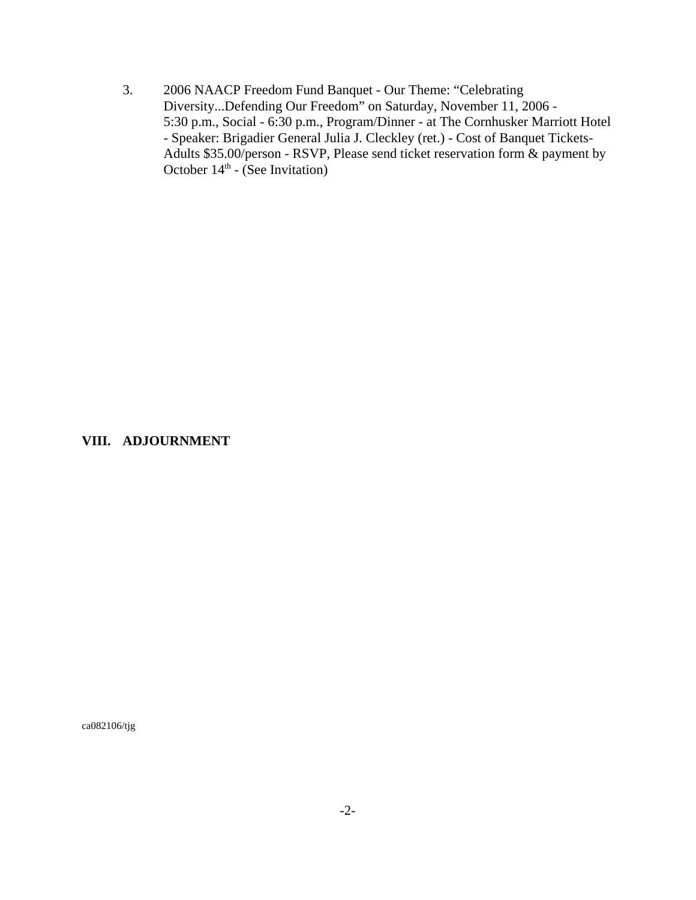3. 2006 NAACP Freedom Fund Banquet - Our Theme: "Celebrating Diversity...Defending Our Freedom" on Saturday, November 11, 2006 - 5:30 p.m., Social - 6:30 p.m., Program/Dinner - at The Cornhusker Marriott Hotel - Speaker: Brigadier General Julia J. Cleckley (ret.) - Cost of Banquet Tickets-Adults \$35.00/person - RSVP, Please send ticket reservation form & payment by October  $14<sup>th</sup>$  - (See Invitation)

### **VIII. ADJOURNMENT**

ca082106/tjg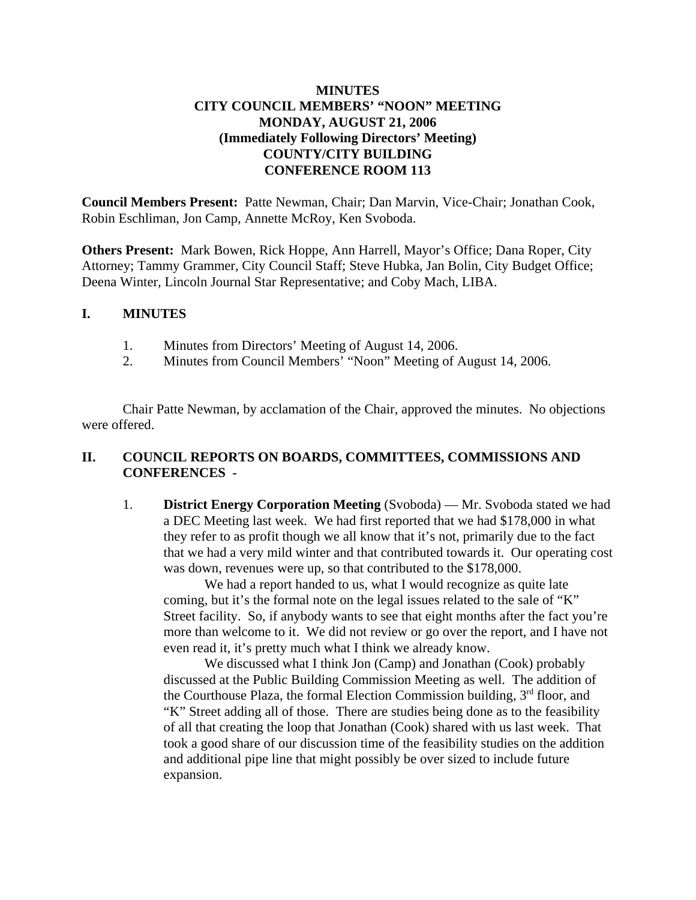# **MINUTES CITY COUNCIL MEMBERS' "NOON" MEETING MONDAY, AUGUST 21, 2006 (Immediately Following Directors' Meeting) COUNTY/CITY BUILDING CONFERENCE ROOM 113**

**Council Members Present:** Patte Newman, Chair; Dan Marvin, Vice-Chair; Jonathan Cook, Robin Eschliman, Jon Camp, Annette McRoy, Ken Svoboda.

**Others Present:** Mark Bowen, Rick Hoppe, Ann Harrell, Mayor's Office; Dana Roper, City Attorney; Tammy Grammer, City Council Staff; Steve Hubka, Jan Bolin, City Budget Office; Deena Winter, Lincoln Journal Star Representative; and Coby Mach, LIBA.

### **I. MINUTES**

- 1. Minutes from Directors' Meeting of August 14, 2006.
- 2. Minutes from Council Members' "Noon" Meeting of August 14, 2006.

Chair Patte Newman, by acclamation of the Chair, approved the minutes. No objections were offered.

## **II. COUNCIL REPORTS ON BOARDS, COMMITTEES, COMMISSIONS AND CONFERENCES -**

1. **District Energy Corporation Meeting** (Svoboda) — Mr. Svoboda stated we had a DEC Meeting last week. We had first reported that we had \$178,000 in what they refer to as profit though we all know that it's not, primarily due to the fact that we had a very mild winter and that contributed towards it. Our operating cost was down, revenues were up, so that contributed to the \$178,000.

We had a report handed to us, what I would recognize as quite late coming, but it's the formal note on the legal issues related to the sale of "K" Street facility. So, if anybody wants to see that eight months after the fact you're more than welcome to it. We did not review or go over the report, and I have not even read it, it's pretty much what I think we already know.

We discussed what I think Jon (Camp) and Jonathan (Cook) probably discussed at the Public Building Commission Meeting as well. The addition of the Courthouse Plaza, the formal Election Commission building,  $3<sup>rd</sup>$  floor, and "K" Street adding all of those. There are studies being done as to the feasibility of all that creating the loop that Jonathan (Cook) shared with us last week. That took a good share of our discussion time of the feasibility studies on the addition and additional pipe line that might possibly be over sized to include future expansion.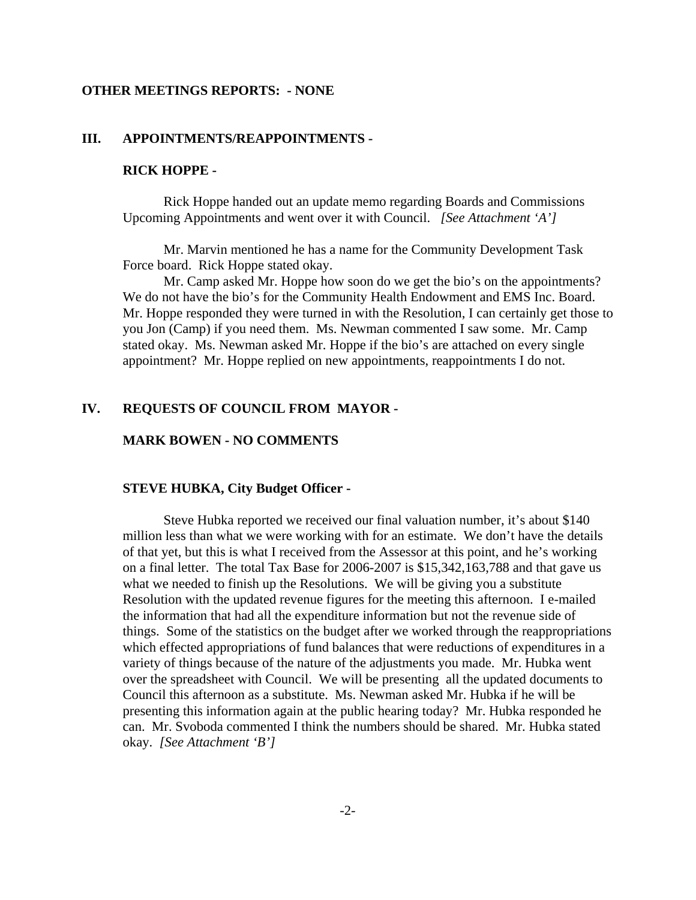#### **OTHER MEETINGS REPORTS: - NONE**

### **III. APPOINTMENTS/REAPPOINTMENTS -**

#### **RICK HOPPE -**

Rick Hoppe handed out an update memo regarding Boards and Commissions Upcoming Appointments and went over it with Council. *[See Attachment 'A']*

Mr. Marvin mentioned he has a name for the Community Development Task Force board. Rick Hoppe stated okay.

Mr. Camp asked Mr. Hoppe how soon do we get the bio's on the appointments? We do not have the bio's for the Community Health Endowment and EMS Inc. Board. Mr. Hoppe responded they were turned in with the Resolution, I can certainly get those to you Jon (Camp) if you need them. Ms. Newman commented I saw some. Mr. Camp stated okay. Ms. Newman asked Mr. Hoppe if the bio's are attached on every single appointment? Mr. Hoppe replied on new appointments, reappointments I do not.

### **IV. REQUESTS OF COUNCIL FROM MAYOR -**

### **MARK BOWEN - NO COMMENTS**

### **STEVE HUBKA, City Budget Officer -**

Steve Hubka reported we received our final valuation number, it's about \$140 million less than what we were working with for an estimate. We don't have the details of that yet, but this is what I received from the Assessor at this point, and he's working on a final letter. The total Tax Base for 2006-2007 is \$15,342,163,788 and that gave us what we needed to finish up the Resolutions. We will be giving you a substitute Resolution with the updated revenue figures for the meeting this afternoon. I e-mailed the information that had all the expenditure information but not the revenue side of things. Some of the statistics on the budget after we worked through the reappropriations which effected appropriations of fund balances that were reductions of expenditures in a variety of things because of the nature of the adjustments you made. Mr. Hubka went over the spreadsheet with Council. We will be presenting all the updated documents to Council this afternoon as a substitute. Ms. Newman asked Mr. Hubka if he will be presenting this information again at the public hearing today? Mr. Hubka responded he can. Mr. Svoboda commented I think the numbers should be shared. Mr. Hubka stated okay. *[See Attachment 'B']*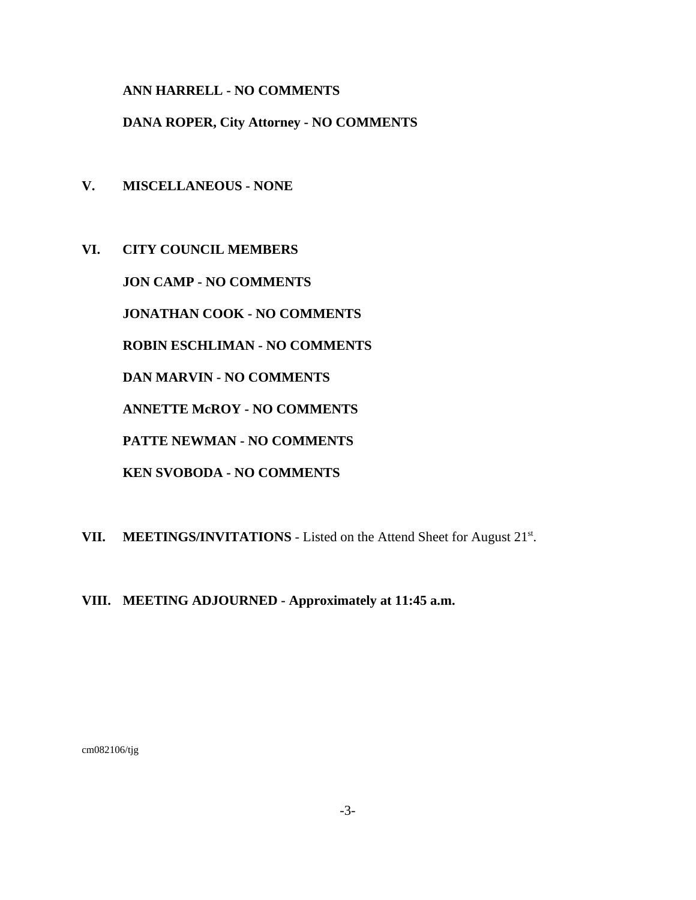**ANN HARRELL - NO COMMENTS** 

**DANA ROPER, City Attorney - NO COMMENTS** 

- **V. MISCELLANEOUS NONE**
- **VI. CITY COUNCIL MEMBERS JON CAMP - NO COMMENTS JONATHAN COOK - NO COMMENTS ROBIN ESCHLIMAN - NO COMMENTS DAN MARVIN - NO COMMENTS ANNETTE McROY - NO COMMENTS PATTE NEWMAN - NO COMMENTS KEN SVOBODA - NO COMMENTS**
- VII. MEETINGS/INVITATIONS Listed on the Attend Sheet for August 21<sup>st</sup>.
- **VIII. MEETING ADJOURNED Approximately at 11:45 a.m.**

cm082106/tjg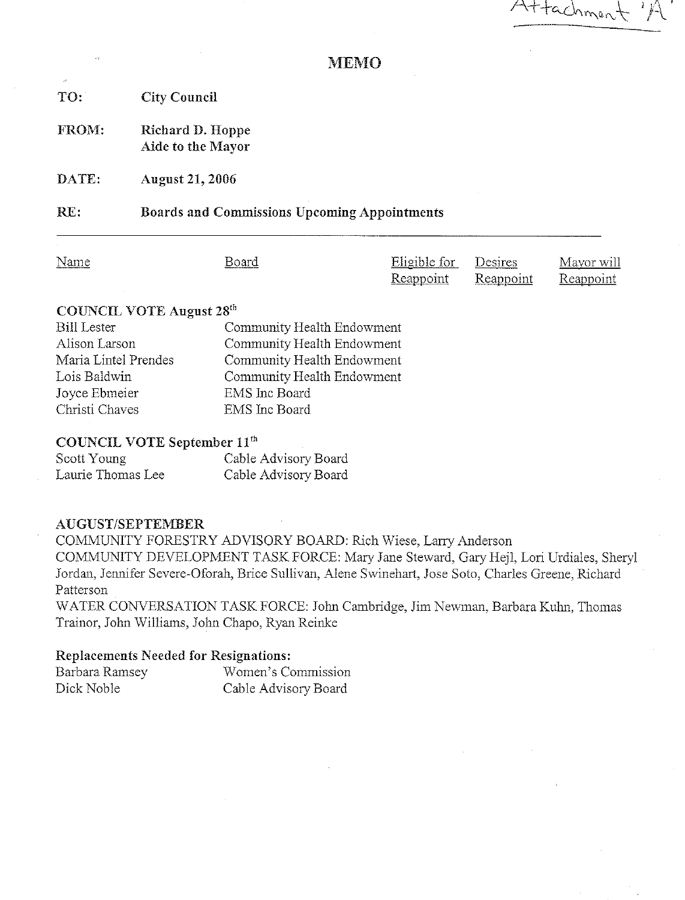Attachmen

### **MEMO**

TO: **City Council** 

FROM: Richard D. Hoppe Aide to the Mayor

DATE: **August 21, 2006** 

**Boards and Commissions Upcoming Appointments** RE:

Name Board

Eligible for Desires Reappoint Reappoint

Mayor will Reappoint

### **COUNCIL VOTE August 28th**

| <b>Bill Lester</b>   | Community Health Endowment |
|----------------------|----------------------------|
| Alison Larson        | Community Health Endowment |
| Maria Lintel Prendes | Community Health Endowment |
| Lois Baldwin         | Community Health Endowment |
| Joyce Ebmeier        | <b>EMS</b> Inc Board       |
| Christi Chaves       | EMS Inc Board              |
|                      |                            |

### COUNCIL VOTE September 11<sup>th</sup>

| Scott Young       | Cable Advisory Board |
|-------------------|----------------------|
| Laurie Thomas Lee | Cable Advisory Board |

#### AUGUST/SEPTEMBER

COMMUNITY FORESTRY ADVISORY BOARD: Rich Wiese, Larry Anderson COMMUNITY DEVELOPMENT TASK FORCE: Mary Jane Steward, Gary Hejl, Lori Urdiales, Sheryl Jordan, Jennifer Severe-Oforah, Brice Sullivan, Alene Swinehart, Jose Soto, Charles Greene, Richard Patterson

WATER CONVERSATION TASK FORCE: John Cambridge, Jim Newman, Barbara Kuhn, Thomas Trainor, John Williams, John Chapo, Ryan Reinke

#### **Replacements Needed for Resignations:**

| Barbara Ramsey | Women's Commission   |
|----------------|----------------------|
| Dick Noble     | Cable Advisory Board |